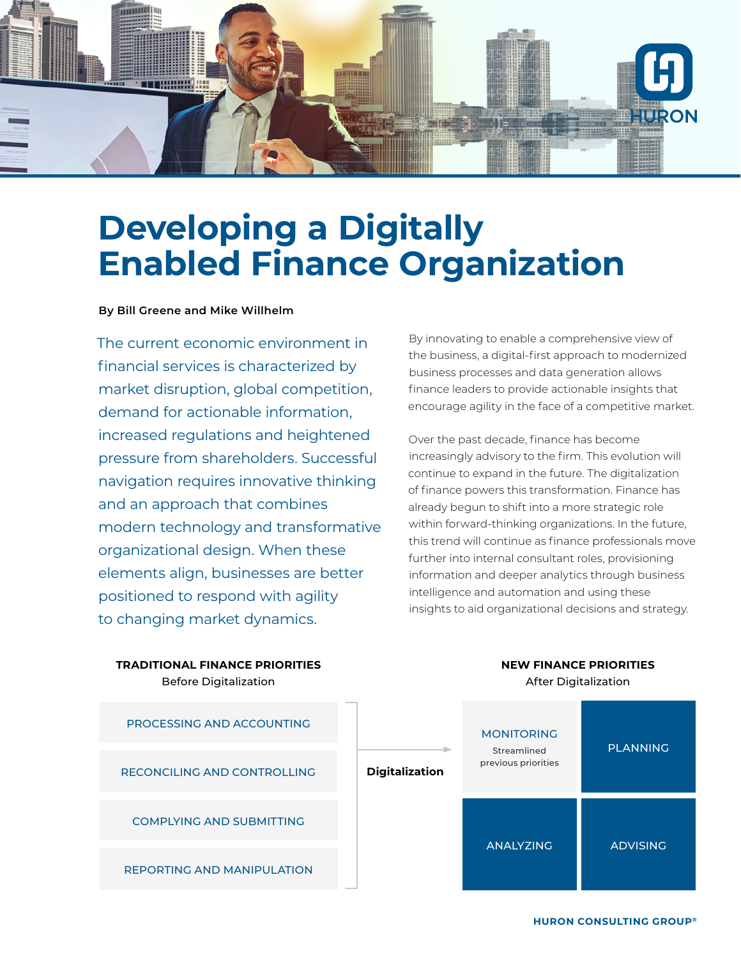

# **Developing a Digitally Enabled Finance Organization**

#### **By Bill Greene and Mike Willhelm**

The current economic environment in financial services is characterized by market disruption, global competition, demand for actionable information, increased regulations and heightened pressure from shareholders. Successful navigation requires innovative thinking and an approach that combines modern technology and transformative organizational design. When these elements align, businesses are better positioned to respond with agility to changing market dynamics.

By innovating to enable a comprehensive view of the business, a digital-first approach to modernized business processes and data generation allows finance leaders to provide actionable insights that encourage agility in the face of a competitive market.

Over the past decade, finance has become increasingly advisory to the firm. This evolution will continue to expand in the future. The digitalization of finance powers this transformation. Finance has already begun to shift into a more strategic role within forward-thinking organizations. In the future, this trend will continue as finance professionals move further into internal consultant roles, provisioning information and deeper analytics through business intelligence and automation and using these insights to aid organizational decisions and strategy.

> **NEW FINANCE PRIORITIES** After Digitalization



**TRADITIONAL FINANCE PRIORITIES** Before Digitalization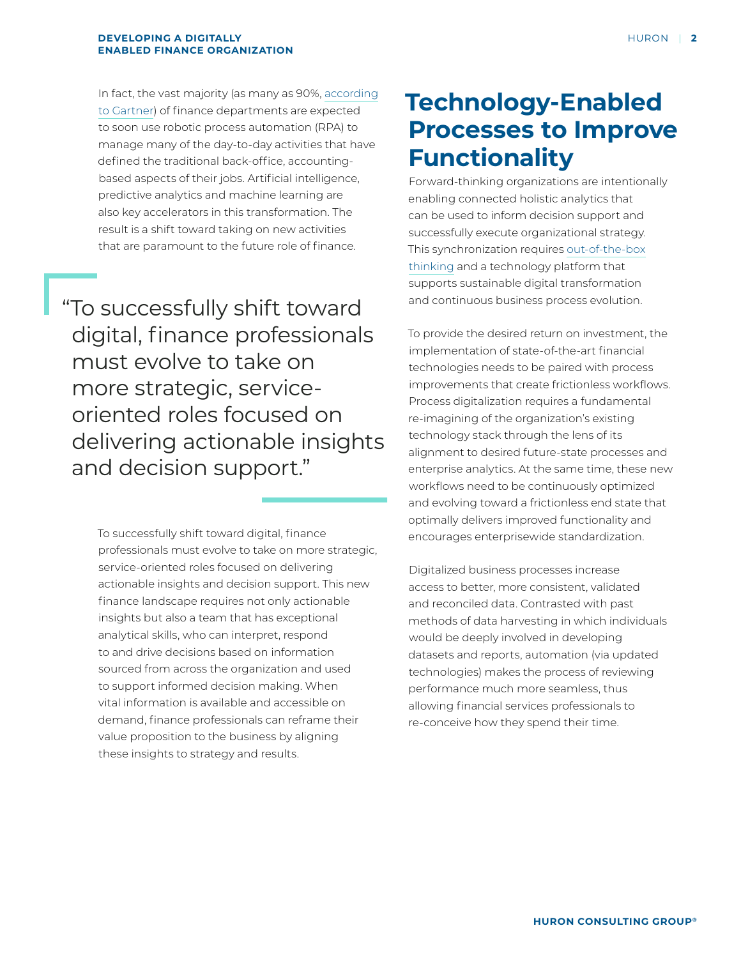In fact, the vast majority (as many as 90%, [according](https://www.gartner.com/smarterwithgartner/why-and-how-finance-must-build-robotics-capabilities/) [to Gartner\)](https://www.gartner.com/smarterwithgartner/why-and-how-finance-must-build-robotics-capabilities/) of finance departments are expected to soon use robotic process automation (RPA) to manage many of the day-to-day activities that have defined the traditional back-office, accountingbased aspects of their jobs. Artificial intelligence, predictive analytics and machine learning are also key accelerators in this transformation. The result is a shift toward taking on new activities that are paramount to the future role of finance.

"To successfully shift toward digital, finance professionals must evolve to take on more strategic, serviceoriented roles focused on delivering actionable insights and decision support."

> To successfully shift toward digital, finance professionals must evolve to take on more strategic, service-oriented roles focused on delivering actionable insights and decision support. This new finance landscape requires not only actionable insights but also a team that has exceptional analytical skills, who can interpret, respond to and drive decisions based on information sourced from across the organization and used to support informed decision making. When vital information is available and accessible on demand, finance professionals can reframe their value proposition to the business by aligning these insights to strategy and results.

## **Technology-Enabled Processes to Improve Functionality**

Forward-thinking organizations are intentionally enabling connected holistic analytics that can be used to inform decision support and successfully execute organizational strategy. This synchronization requires [out-of-the-box](https://www.huronconsultinggroup.com/insights/breaking-away-from-traditional-views-enterprise-performance-management) [thinking](https://www.huronconsultinggroup.com/insights/breaking-away-from-traditional-views-enterprise-performance-management) and a technology platform that supports sustainable digital transformation and continuous business process evolution.

To provide the desired return on investment, the implementation of state-of-the-art financial technologies needs to be paired with process improvements that create frictionless workflows. Process digitalization requires a fundamental re-imagining of the organization's existing technology stack through the lens of its alignment to desired future-state processes and enterprise analytics. At the same time, these new workflows need to be continuously optimized and evolving toward a frictionless end state that optimally delivers improved functionality and encourages enterprisewide standardization.

Digitalized business processes increase access to better, more consistent, validated and reconciled data. Contrasted with past methods of data harvesting in which individuals would be deeply involved in developing datasets and reports, automation (via updated technologies) makes the process of reviewing performance much more seamless, thus allowing financial services professionals to re-conceive how they spend their time.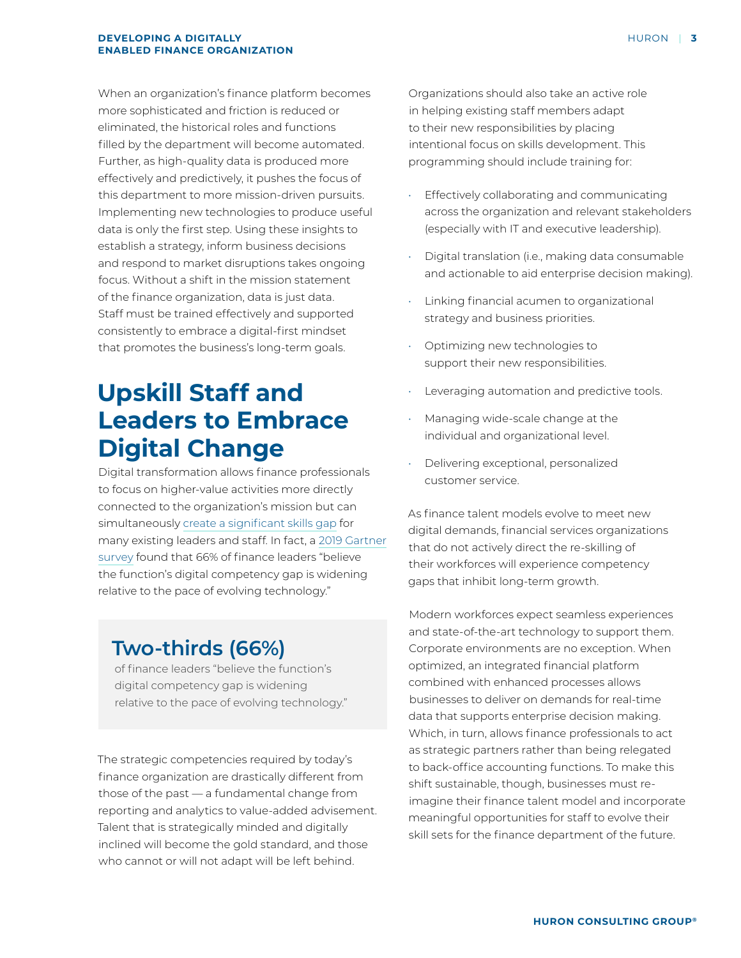When an organization's finance platform becomes more sophisticated and friction is reduced or eliminated, the historical roles and functions filled by the department will become automated. Further, as high-quality data is produced more effectively and predictively, it pushes the focus of this department to more mission-driven pursuits. Implementing new technologies to produce useful data is only the first step. Using these insights to establish a strategy, inform business decisions and respond to market disruptions takes ongoing focus. Without a shift in the mission statement of the finance organization, data is just data. Staff must be trained effectively and supported consistently to embrace a digital-first mindset that promotes the business's long-term goals.

### **Upskill Staff and Leaders to Embrace Digital Change**

Digital transformation allows finance professionals to focus on higher-value activities more directly connected to the organization's mission but can simultaneously [create a significant skills gap](https://emtemp.gcom.cloud/ngw/globalassets/en/finance/documents/insights/finance-next-gen-workforce.pdf) for many existing leaders and staff. In fact, a [2019 Gartner](https://emtemp.gcom.cloud/ngw/globalassets/en/finance/documents/trends/10-trends-finance-future.pdf)  [survey](https://emtemp.gcom.cloud/ngw/globalassets/en/finance/documents/trends/10-trends-finance-future.pdf) found that 66% of finance leaders "believe the function's digital competency gap is widening relative to the pace of evolving technology."

### **Two-thirds (66%)**

of finance leaders "believe the function's digital competency gap is widening relative to the pace of evolving technology."

The strategic competencies required by today's finance organization are drastically different from those of the past — a fundamental change from reporting and analytics to value-added advisement. Talent that is strategically minded and digitally inclined will become the gold standard, and those who cannot or will not adapt will be left behind.

Organizations should also take an active role in helping existing staff members adapt to their new responsibilities by placing intentional focus on skills development. This programming should include training for:

- Effectively collaborating and communicating across the organization and relevant stakeholders (especially with IT and executive leadership).
- Digital translation (i.e., making data consumable and actionable to aid enterprise decision making).
- Linking financial acumen to organizational strategy and business priorities.
- Optimizing new technologies to support their new responsibilities.
- Leveraging automation and predictive tools.
- Managing wide-scale change at the individual and organizational level.
- Delivering exceptional, personalized customer service.

As finance talent models evolve to meet new digital demands, financial services organizations that do not actively direct the re-skilling of their workforces will experience competency gaps that inhibit long-term growth.

Modern workforces expect seamless experiences and state-of-the-art technology to support them. Corporate environments are no exception. When optimized, an integrated financial platform combined with enhanced processes allows businesses to deliver on demands for real-time data that supports enterprise decision making. Which, in turn, allows finance professionals to act as strategic partners rather than being relegated to back-office accounting functions. To make this shift sustainable, though, businesses must reimagine their finance talent model and incorporate meaningful opportunities for staff to evolve their skill sets for the finance department of the future.